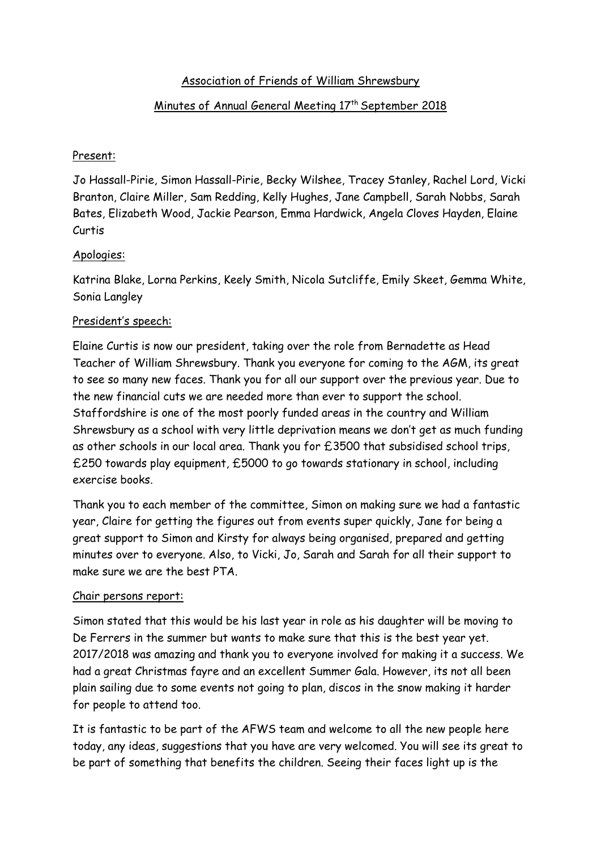# Association of Friends of William Shrewsbury

# Minutes of Annual General Meeting 17<sup>th</sup> September 2018

### Present:

Jo Hassall-Pirie, Simon Hassall-Pirie, Becky Wilshee, Tracey Stanley, Rachel Lord, Vicki Branton, Claire Miller, Sam Redding, Kelly Hughes, Jane Campbell, Sarah Nobbs, Sarah Bates, Elizabeth Wood, Jackie Pearson, Emma Hardwick, Angela Cloves Hayden, Elaine Curtis

## Apologies:

Katrina Blake, Lorna Perkins, Keely Smith, Nicola Sutcliffe, Emily Skeet, Gemma White, Sonia Langley

#### President's speech:

Elaine Curtis is now our president, taking over the role from Bernadette as Head Teacher of William Shrewsbury. Thank you everyone for coming to the AGM, its great to see so many new faces. Thank you for all our support over the previous year. Due to the new financial cuts we are needed more than ever to support the school. Staffordshire is one of the most poorly funded areas in the country and William Shrewsbury as a school with very little deprivation means we don't get as much funding as other schools in our local area. Thank you for £3500 that subsidised school trips, £250 towards play equipment, £5000 to go towards stationary in school, including exercise books.

Thank you to each member of the committee, Simon on making sure we had a fantastic year, Claire for getting the figures out from events super quickly, Jane for being a great support to Simon and Kirsty for always being organised, prepared and getting minutes over to everyone. Also, to Vicki, Jo, Sarah and Sarah for all their support to make sure we are the best PTA.

#### Chair persons report:

Simon stated that this would be his last year in role as his daughter will be moving to De Ferrers in the summer but wants to make sure that this is the best year yet. 2017/2018 was amazing and thank you to everyone involved for making it a success. We had a great Christmas fayre and an excellent Summer Gala. However, its not all been plain sailing due to some events not going to plan, discos in the snow making it harder for people to attend too.

It is fantastic to be part of the AFWS team and welcome to all the new people here today, any ideas, suggestions that you have are very welcomed. You will see its great to be part of something that benefits the children. Seeing their faces light up is the